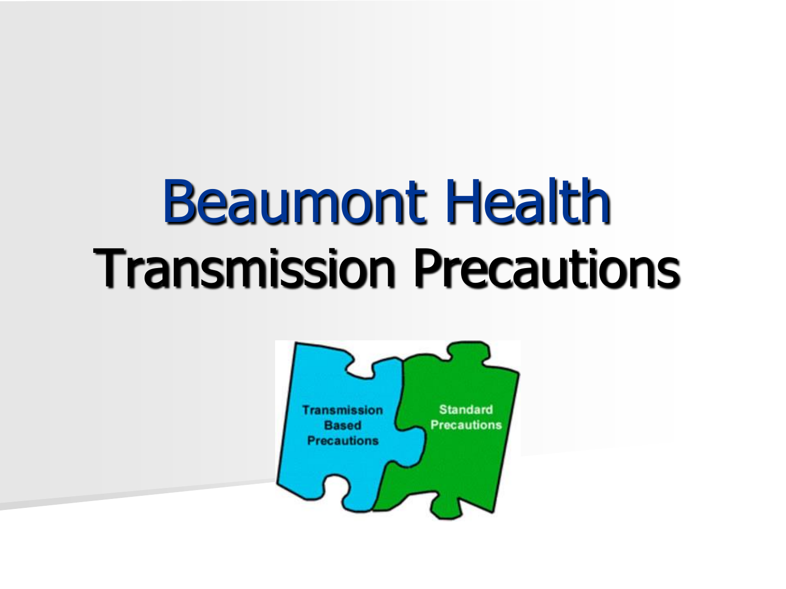# Beaumont Health Transmission Precautions

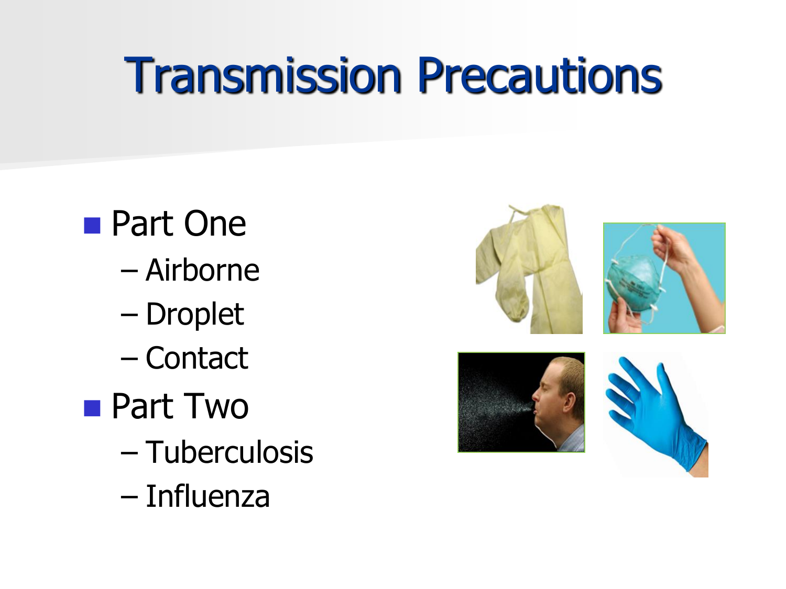#### Transmission Precautions

- **Part One** – Airborne – Droplet – Contact ■ Part Two – Tuberculosis
	- Influenza

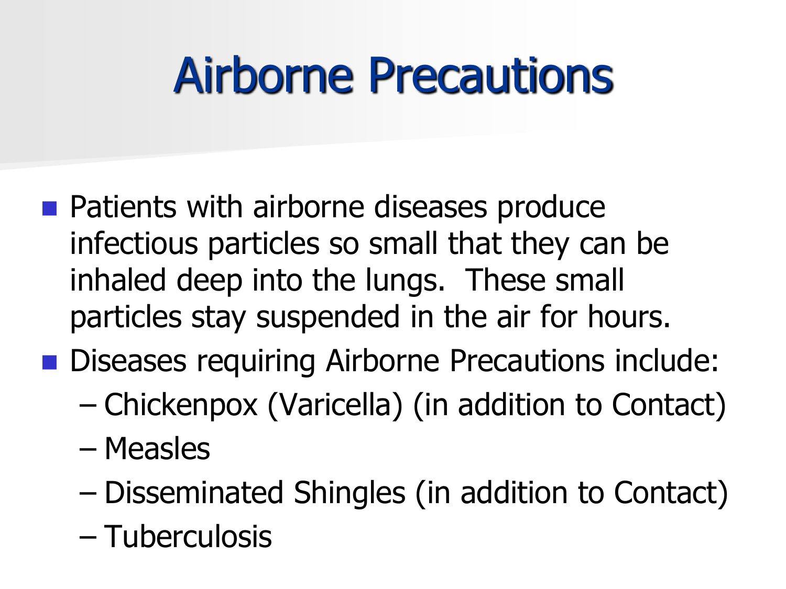### Airborne Precautions

- **Patients with airborne diseases produce** infectious particles so small that they can be inhaled deep into the lungs. These small particles stay suspended in the air for hours.
- Diseases requiring Airborne Precautions include:
	- Chickenpox (Varicella) (in addition to Contact)
	- Measles
	- Disseminated Shingles (in addition to Contact)
	- Tuberculosis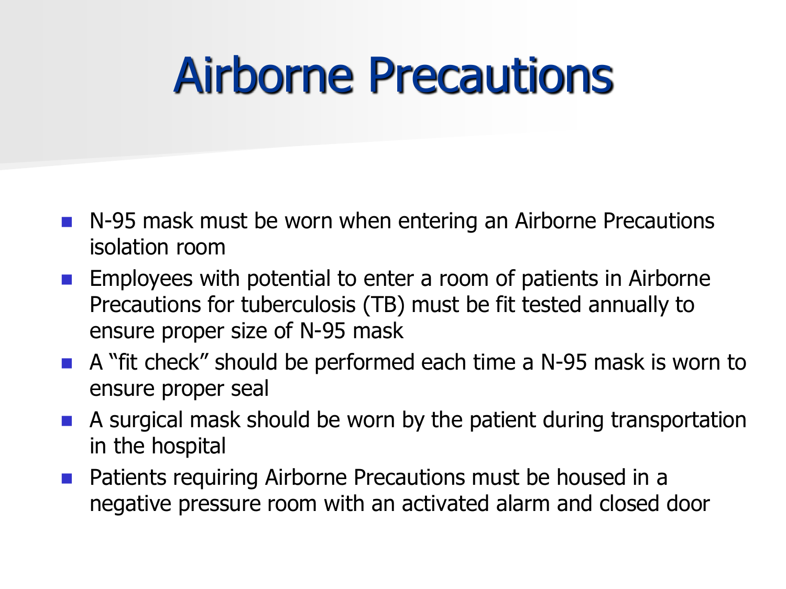#### Airborne Precautions

- N-95 mask must be worn when entering an Airborne Precautions isolation room
- **Employees with potential to enter a room of patients in Airborne** Precautions for tuberculosis (TB) must be fit tested annually to ensure proper size of N-95 mask
- A "fit check" should be performed each time a N-95 mask is worn to ensure proper seal
- A surgical mask should be worn by the patient during transportation in the hospital
- Patients requiring Airborne Precautions must be housed in a negative pressure room with an activated alarm and closed door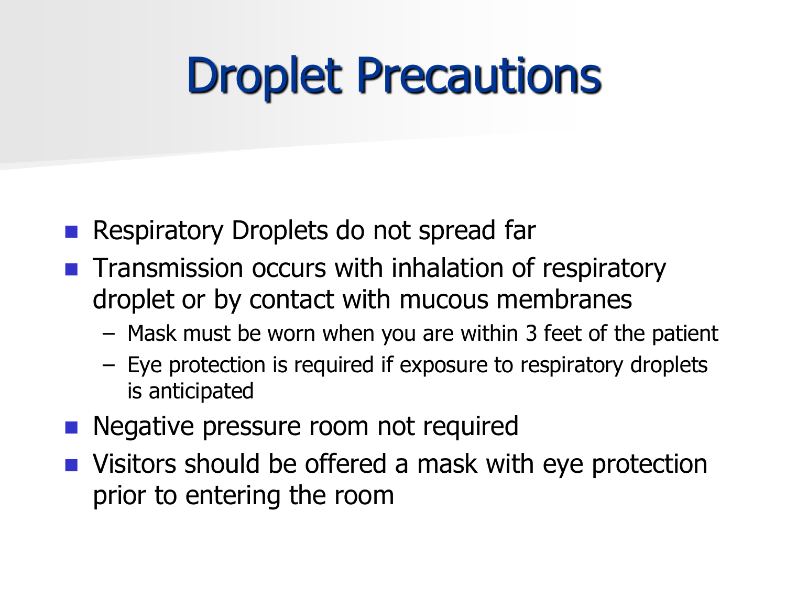#### Droplet Precautions

- Respiratory Droplets do not spread far
- **The Transmission occurs with inhalation of respiratory** droplet or by contact with mucous membranes
	- Mask must be worn when you are within 3 feet of the patient
	- Eye protection is required if exposure to respiratory droplets is anticipated
- Negative pressure room not required
- Visitors should be offered a mask with eye protection prior to entering the room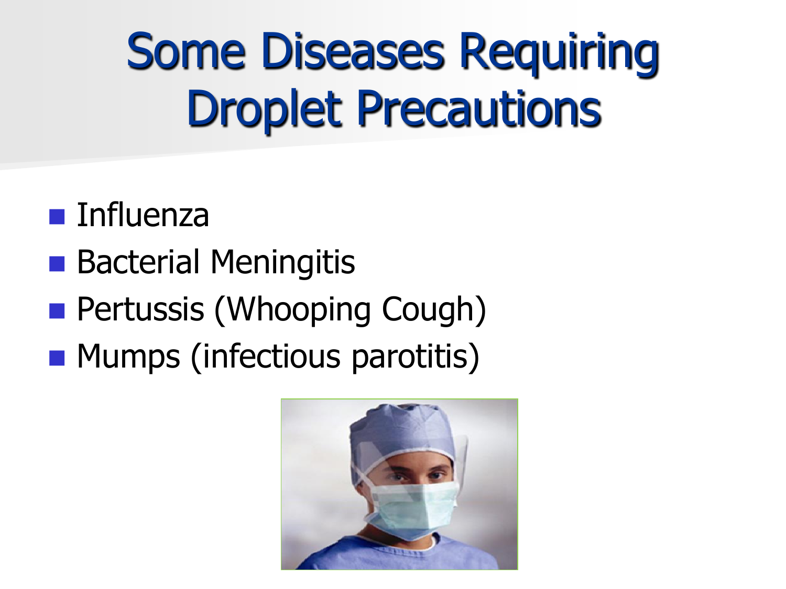Some Diseases Requiring Droplet Precautions

- **Influenza**
- **Bacterial Meningitis**
- **Pertussis (Whooping Cough)**
- **Mumps (infectious parotitis)**

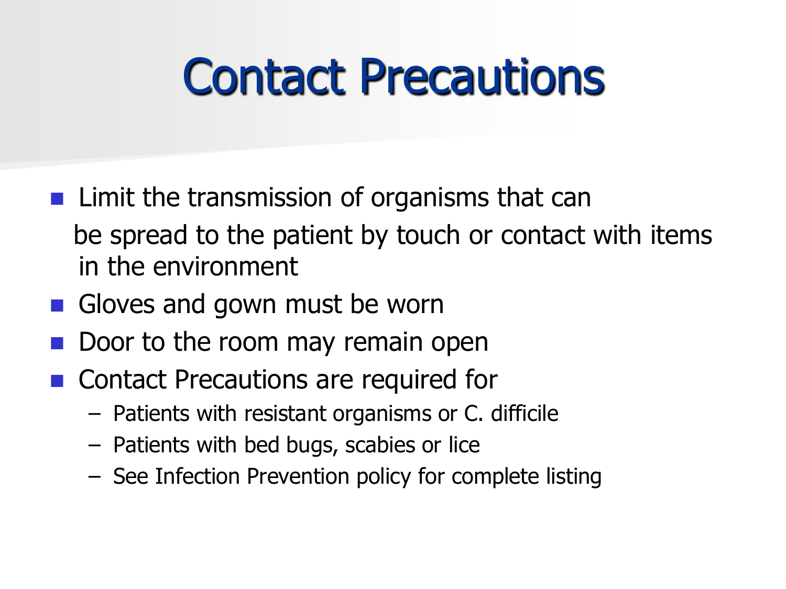#### Contact Precautions

- **Limit the transmission of organisms that can**  be spread to the patient by touch or contact with items in the environment
- Gloves and gown must be worn
- Door to the room may remain open
- Contact Precautions are required for
	- Patients with resistant organisms or C. difficile
	- Patients with bed bugs, scabies or lice
	- See Infection Prevention policy for complete listing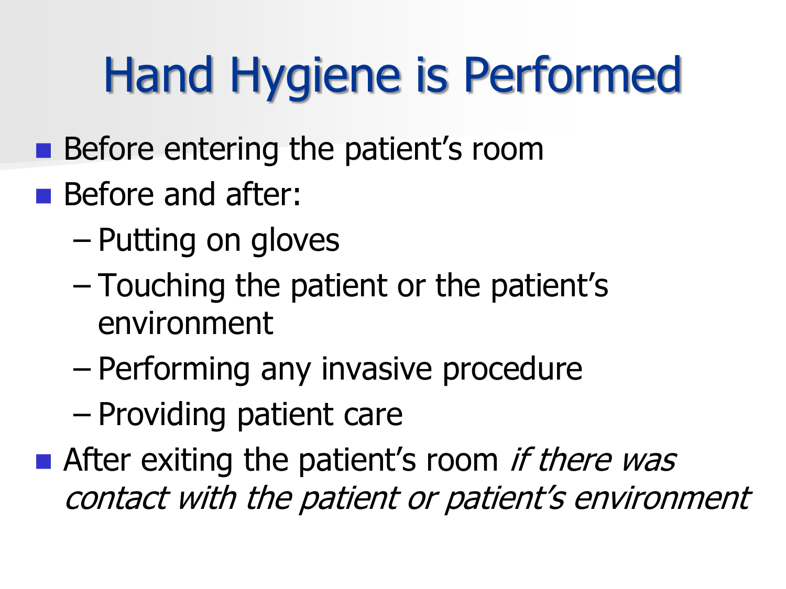## Hand Hygiene is Performed

- **Before entering the patient's room**
- **Before and after:** 
	- Putting on gloves
	- Touching the patient or the patient's environment
	- Performing any invasive procedure
	- Providing patient care
- **After exiting the patient's room if there was** contact with the patient or patient's environment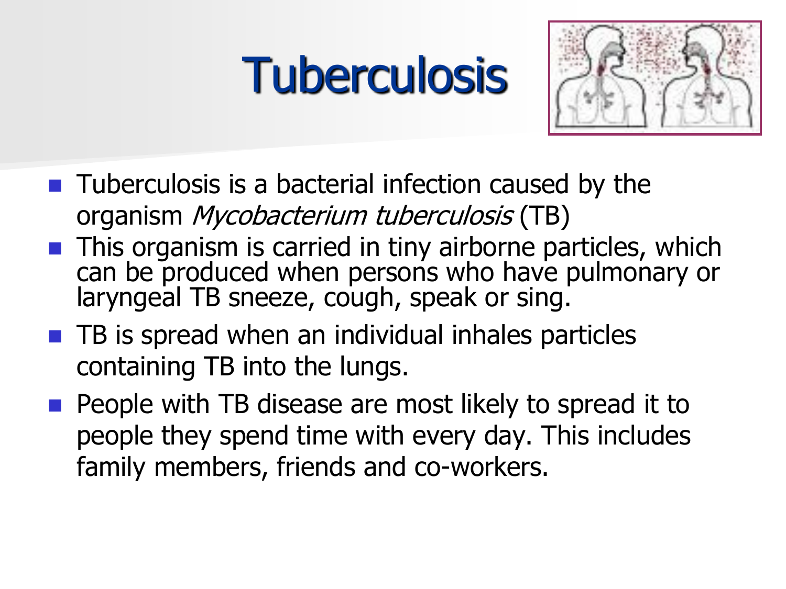## **Tuberculosis**



- $\blacksquare$  Tuberculosis is a bacterial infection caused by the organism Mycobacterium tuberculosis (TB)
- **This organism is carried in tiny airborne particles, which** can be produced when persons who have pulmonary or laryngeal TB sneeze, cough, speak or sing.
- $\blacksquare$  TB is spread when an individual inhales particles containing TB into the lungs.
- $\blacksquare$  People with TB disease are most likely to spread it to people they spend time with every day. This includes family members, friends and co-workers.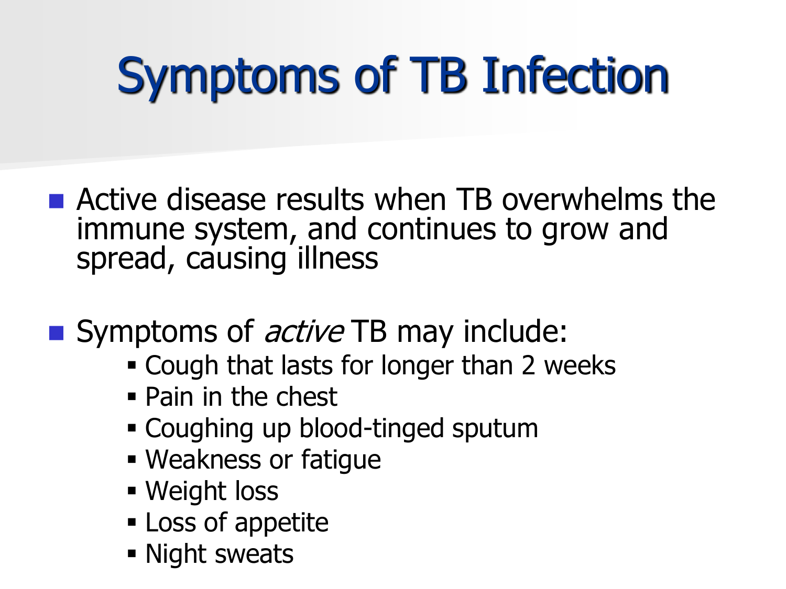## Symptoms of TB Infection

- **E** Active disease results when TB overwhelms the immune system, and continues to grow and spread, causing illness
- Symptoms of *active* TB may include:
	- Cough that lasts for longer than 2 weeks
	- Pain in the chest
	- Coughing up blood-tinged sputum
	- Weakness or fatigue
	- Weight loss
	- **Loss of appetite**
	- **Night sweats**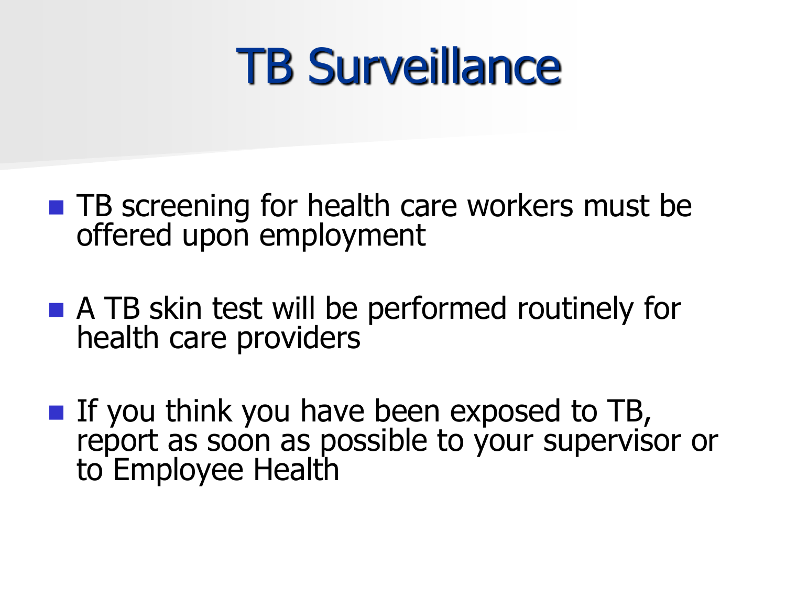#### TB Surveillance

- **THE** Screening for health care workers must be offered upon employment
- A TB skin test will be performed routinely for health care providers
- If you think you have been exposed to  $TB$ , report as soon as possible to your supervisor or to Employee Health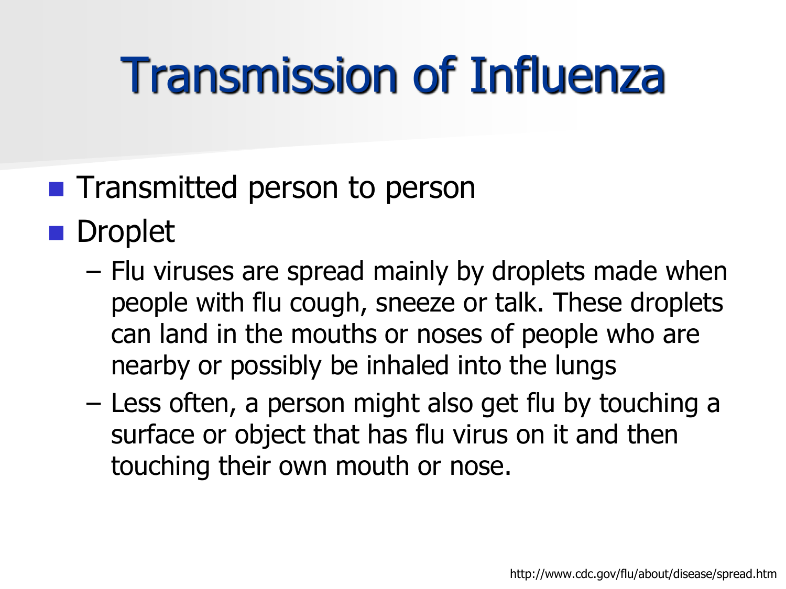## Transmission of Influenza

- **Transmitted person to person**
- **Droplet** 
	- Flu viruses are spread mainly by droplets made when people with flu cough, sneeze or talk. These droplets can land in the mouths or noses of people who are nearby or possibly be inhaled into the lungs
	- Less often, a person might also get flu by touching a surface or object that has flu virus on it and then touching their own mouth or nose.